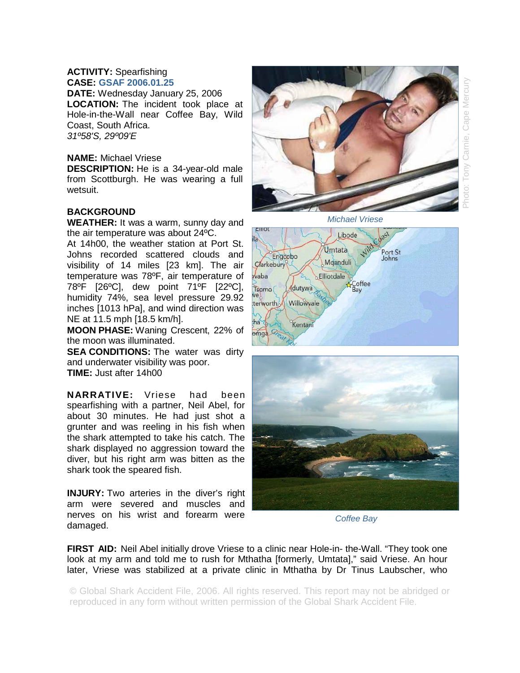## **ACTIVITY:** Spearfishing **CASE: GSAF 2006.01.25**

**DATE:** Wednesday January 25, 2006 **LOCATION:** The incident took place at Hole-in-the-Wall near Coffee Bay, Wild Coast, South Africa. *31º58'S, 29º09'E* 

## **NAME:** Michael Vriese

**DESCRIPTION:** He is a 34-year-old male from Scottburgh. He was wearing a full wetsuit.

## **BACKGROUND**

**WEATHER:** It was a warm, sunny day and the air temperature was about 24ºC.

At 14h00, the weather station at Port St. Johns recorded scattered clouds and visibility of 14 miles [23 km]. The air temperature was 78ºF, air temperature of 78ºF [26ºC], dew point 71ºF [22ºC], humidity 74%, sea level pressure 29.92 inches [1013 hPa], and wind direction was NE at 11.5 mph [18.5 km/h].

**MOON PHASE:** Waning Crescent, 22% of the moon was illuminated.

**SEA CONDITIONS:** The water was dirty and underwater visibility was poor. **TIME:** Just after 14h00

**NARRATIVE:** Vriese had been spearfishing with a partner, Neil Abel, for about 30 minutes. He had just shot a grunter and was reeling in his fish when the shark attempted to take his catch. The shark displayed no aggression toward the diver, but his right arm was bitten as the shark took the speared fish.

**INJURY:** Two arteries in the diver's right arm were severed and muscles and nerves on his wrist and forearm were damaged.



Photo: Tony Carnie, Cape Mercury Cape Mercu Carnie,  $\geq$ 





*Coffee Bay* 

**FIRST AID:** Neil Abel initially drove Vriese to a clinic near Hole-in- the-Wall. "They took one look at my arm and told me to rush for Mthatha [formerly, Umtata]," said Vriese. An hour later, Vriese was stabilized at a private clinic in Mthatha by Dr Tinus Laubscher, who

© Global Shark Accident File, 2006. All rights reserved. This report may not be abridged or reproduced in any form without written permission of the Global Shark Accident File.